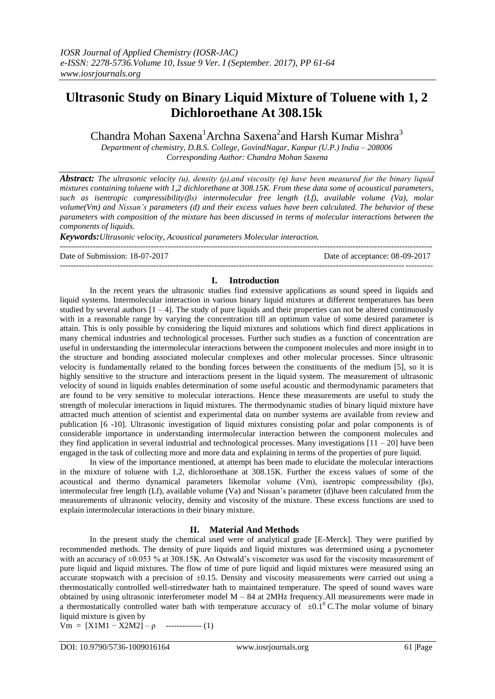# **Ultrasonic Study on Binary Liquid Mixture of Toluene with 1, 2 Dichloroethane At 308.15k**

Chandra Mohan Saxena<sup>1</sup>Archna Saxena<sup>2</sup>and Harsh Kumar Mishra<sup>3</sup>

*Department of chemistry, D.B.S. College, GovindNagar, Kanpur (U.P.) India – 208006 Corresponding Author: Chandra Mohan Saxena*

*Abstract: The ultrasonic velocity (u), density (ρ),and viscosity (η) have been measured for the binary liquid mixtures containing toluene with 1,2 dichlorethane at 308.15K. From these data some of acoustical parameters, such as isentropic compressibility(βs) intermolecular free length (Lf), available volume (Va), molar volume(Vm) and Nissan's parameters (d) and their excess values have been calculated. The behavior of these parameters with composition of the mixture has been discussed in terms of molecular interactions between the components of liquids.*

*Keywords:Ultrasonic velocity, Acoustical parameters Molecular interaction.* ---------------------------------------------------------------------------------------------------------------------------------------

Date of Submission: 18-07-2017 Date of acceptance: 08-09-2017

# **I. Introduction**

---------------------------------------------------------------------------------------------------------------------------------------

In the recent years the ultrasonic studies find extensive applications as sound speed in liquids and liquid systems. Intermolecular interaction in various binary liquid mixtures at different temperatures has been studied by several authors  $[1 - 4]$ . The study of pure liquids and their properties can not be altered continuously with in a reasonable range by varying the concentration till an optimum value of some desired parameter is attain. This is only possible by considering the liquid mixtures and solutions which find direct applications in many chemical industries and technological processes. Further such studies as a function of concentration are useful in understanding the intermolecular interactions between the component molecules and more insight in to the structure and bonding associated molecular complexes and other molecular processes. Since ultrasonic velocity is fundamentally related to the bonding forces between the constituents of the medium [5], so it is highly sensitive to the structure and interactions present in the liquid system. The measurement of ultrasonic velocity of sound in liquids enables determination of some useful acoustic and thermodynamic parameters that are found to be very sensitive to molecular interactions. Hence these measurements are useful to study the strength of molecular interactions in liquid mixtures. The thermodynamic studies of binary liquid mixture have attracted much attention of scientist and experimental data on number systems are available from review and publication [6 -10]. Ultrasonic investigation of liquid mixtures consisting polar and polar components is of considerable importance in understanding intermolecular interaction between the component molecules and they find application in several industrial and technological processes. Many investigations  $[11 - 20]$  have been engaged in the task of collecting more and more data and explaining in terms of the properties of pure liquid.

In view of the importance mentioned, at attempt has been made to elucidate the molecular interactions in the mixture of toluene with 1,2, dichloroethane at 308.15K. Further the excess values of some of the acoustical and thermo dynamical parameters likemolar volume (Vm), isentropic compressibility (βs), intermolecular free length (Lf), available volume (Va) and Nissan"s parameter (d)have been calculated from the measurements of ultrasonic velocity, density and viscosity of the mixture. These excess functions are used to explain intermolecular interactions in their binary mixture.

# **II. Material And Methods**

In the present study the chemical used were of analytical grade [E-Merck]. They were purified by recommended methods. The density of pure liquids and liquid mixtures was determined using a pycnometer with an accuracy of  $\pm 0.053$  % at 308.15K. An Ostwald's viscometer was used for the viscosity measurement of pure liquid and liquid mixtures. The flow of time of pure liquid and liquid mixtures were measured using an accurate stopwatch with a precision of  $\pm 0.15$ . Density and viscosity measurements were carried out using a thermostatically controlled well-stirredwater bath to maintained temperature. The speed of sound waves ware obtained by using ultrasonic interferometer model M – 84 at 2MHz frequency.All measurements were made in a thermostatically controlled water bath with temperature accuracy of  $\pm 0.1^\circ$  C.The molar volume of binary liquid mixture is given by

Vm =  $[X1M1 - X2M2] - \rho$  ------------- (1)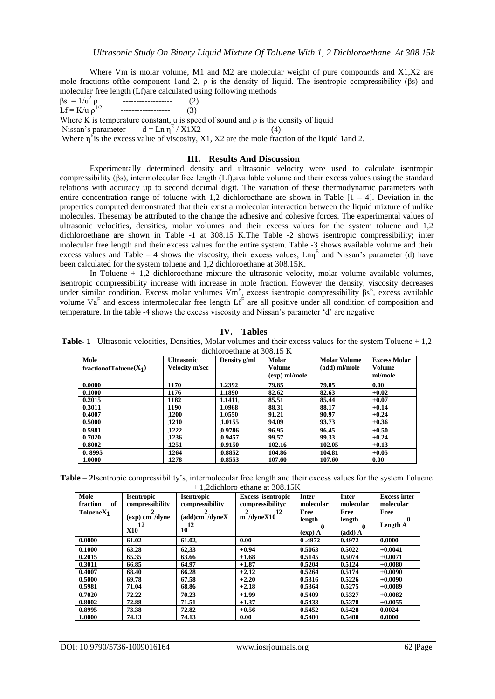Where Vm is molar volume, M1 and M2 are molecular weight of pure compounds and  $X1,X2$  are mole fractions of the component 1and 2,  $\rho$  is the density of liquid. The isentropic compressibility ( $\beta$ s) and molecular free length (Lf)are calculated using following methods

$$
\beta s = 1/u^2 \rho
$$
 (2)

Lf =  $K/u$   $\rho$ <sup>1</sup>  $(3)$ 

Where K is temperature constant, u is speed of sound and  $\rho$  is the density of liquid

Nissan's parameter  $d = \text{Ln } \eta^E / X_1 X_2$  ------------------ (4)

Where  $\eta^E$  is the excess value of viscosity, X1, X2 are the mole fraction of the liquid 1 and 2.

# **III. Results And Discussion**

Experimentally determined density and ultrasonic velocity were used to calculate isentropic compressibility (βs), intermolecular free length (Lf),available volume and their excess values using the standard relations with accuracy up to second decimal digit. The variation of these thermodynamic parameters with entire concentration range of toluene with 1,2 dichloroethane are shown in Table  $[1 - 4]$ . Deviation in the properties computed demonstrated that their exist a molecular interaction between the liquid mixture of unlike molecules. Thesemay be attributed to the change the adhesive and cohesive forces. The experimental values of ultrasonic velocities, densities, molar volumes and their excess values for the system toluene and 1,2 dichloroethane are shown in Table -1 at 308.15 K.The Table -2 shows isentropic compressibility; inter molecular free length and their excess values for the entire system. Table -3 shows available volume and their excess values and Table  $-4$  shows the viscosity, their excess values,  $\text{Lm}^{\text{E}}$  and Nissan's parameter (d) have been calculated for the system toluene and 1,2 dichloroethane at 308.15K.

In Toluene + 1,2 dichloroethane mixture the ultrasonic velocity, molar volume available volumes, isentropic compressibility increase with increase in mole fraction. However the density, viscosity decreases under similar condition. Excess molar volumes  $Vm^E$ , excess isentropic compressibility  $\beta s^E$ , excess available volume  $Va^E$  and excess intermolecular free length  $Lf^E$  are all positive under all condition of composition and temperature. In the table -4 shows the excess viscosity and Nissan"s parameter "d" are negative

| IV. | <b>Tables</b>   |
|-----|-----------------|
|     | r volumos and 1 |

**Table-1** Ultrasonic velocities, Densities, Molar volumes and their excess values for the system Toluene + 1,2 dichloroethane at 308.15 K

| Mole<br>fraction of Toluene $(X_1)$ | <b>Ultrasonic</b><br><b>Velocity m/sec</b> | Density g/ml | <b>Molar</b><br><b>Volume</b><br>(exp) ml/mole | <b>Molar Volume</b><br>(add) ml/mole | <b>Excess Molar</b><br>Volume<br>ml/mole |
|-------------------------------------|--------------------------------------------|--------------|------------------------------------------------|--------------------------------------|------------------------------------------|
| 0.0000                              | 1170                                       | 1.2392       | 79.85                                          | 79.85                                | 0.00                                     |
| 0.1000                              | 1176                                       | 1.1890       | 82.62                                          | 82.63                                | $+0.02$                                  |
| 0.2015                              | 1182                                       | 1.1411       | 85.51                                          | 85.44                                | $+0.07$                                  |
| 0.3011                              | 1190                                       | 1.0968       | 88.31                                          | 88.17                                | $+0.14$                                  |
| 0.4007                              | <b>1200</b>                                | 1.0550       | 91.21                                          | 90.97                                | $+0.24$                                  |
| 0.5000                              | <b>1210</b>                                | 1.0155       | 94.09                                          | 93.73                                | $+0.36$                                  |
| 0.5981                              | 1222                                       | .0.9786      | 96.95                                          | 96.45                                | $+0.50$                                  |
| 0.7020                              | 1236                                       | 0.9457       | 99.57                                          | 99.33                                | $+0.24$                                  |
| 0.8002                              | 1251                                       | .0.9150      | 102.16                                         | 102.05                               | $+0.13$                                  |
| 0.8995                              | 1264                                       | 0.8852       | 104.86                                         | 104.81                               | $+0.05$                                  |
| 1.0000                              | 1278                                       | 0.8553       | 107.60                                         | 107.60                               | 0.00                                     |

**Table – 2**Isentropic compressibility"s, intermolecular free length and their excess values for the system Toluene  $+ 1.2$ dichloro ethane at 308.15K

| $\pm$ 1.2 diction culture at 500.15 K |                   |                   |                          |              |              |                     |
|---------------------------------------|-------------------|-------------------|--------------------------|--------------|--------------|---------------------|
| Mole                                  | <b>Isentropic</b> | <b>Isentropic</b> | <b>Excess isentropic</b> | <b>Inter</b> | <b>Inter</b> | <b>Excess inter</b> |
| of<br>fraction                        | compressibility   | compressibility   | compressibilityc         | molecular    | molecular    | molecular           |
| TolueneX <sub>1</sub>                 | 2                 | 2                 | 2<br>- 12                | Free         | Free         | Free                |
|                                       | $(exp)$ cm /dyne  | (add)cm /dyneX    | $m$ /dyneX10             | length       | length       | $\mathbf{0}$        |
|                                       | 12                | 12                |                          | $\mathbf 0$  | -0           | Length A            |
|                                       | <b>X10</b>        | 10                |                          | $(exp)$ A    | $(add)$ A    |                     |
| 0.0000                                | 61.02             | 61.02             | 0.00                     | 0.4972       | 0.4972       | 0.0000              |
| 0.1000                                | 63.28             | 62,33             | $+0.94$                  | 0.5063       | 0.5022       | $+0.0041$           |
| 0.2015                                | 65.35             | 63.66             | $+1.68$                  | 0.5145       | 0.5074       | $+0.0071$           |
| 0.3011                                | 66.85             | 64.97             | $+1.87$                  | 0.5204       | 0.5124       | $+0.0080$           |
| 0.4007                                | 68.40             | 66.28             | $+2.12$                  | 0.5264       | 0.5174       | $+0.0090$           |
| 0.5000                                | 69.78             | 67.58             | $+2.20$                  | 0.5316       | 0.5226       | $+0.0090$           |
| 0.5981                                | 71.04             | 68.86             | $+2.18$                  | 0.5364       | 0.5275       | $+0.0089$           |
| 0.7020                                | 72.22             | 70.23             | $+1.99$                  | 0.5409       | 0.5327       | $+0.0082$           |
| 0.8002                                | 72.88             | 71.51             | $+1.37$                  | 0.5433       | 0.5378       | $+0.0055$           |
| 0.8995                                | 73.38             | 72.82             | $+0.56$                  | 0.5452       | 0.5428       | 0.0024              |
| 1.0000                                | 74.13             | 74.13             | 0.00                     | 0.5480       | 0.5480       | 0.0000              |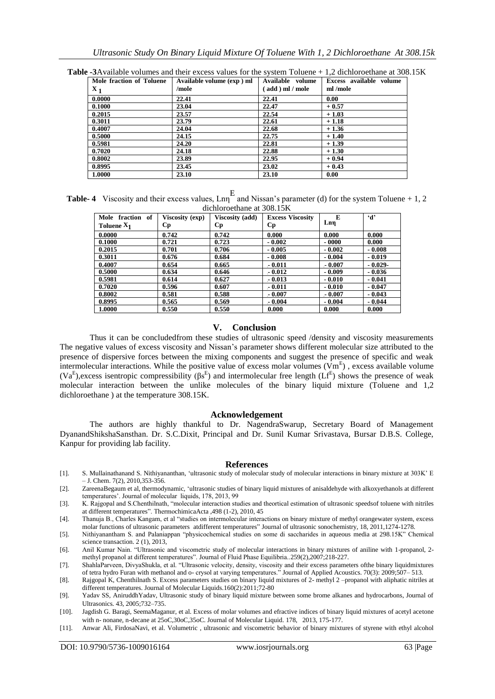| Mole fraction of Toluene<br>$\mathbf{x_{1}}$ | Available volume (exp) ml<br>/mole | Available volume<br>(add ) ml / mole | Excess available volume<br>ml /mole |
|----------------------------------------------|------------------------------------|--------------------------------------|-------------------------------------|
| 0.0000                                       | 22.41                              | 22.41                                | 0.00                                |
| 0.1000                                       | 23.04                              | 22.47                                | $+0.57$                             |
| 0.2015                                       | 23.57                              | 22.54                                | $+1.03$                             |
| 0.3011                                       | 23.79                              | 22.61                                | $+1.18$                             |
| 0.4007                                       | 24.04                              | 22.68                                | $+1.36$                             |
| 0.5000                                       | 24.15                              | 22.75                                | $+1.40$                             |
| 0.5981                                       | 24.20                              | 22.81                                | $+1.39$                             |
| 0.7020                                       | 24.18                              | 22.88                                | $+1.30$                             |
| 0.8002                                       | 23.89                              | 22.95                                | $+0.94$                             |
| 0.8995                                       | 23.45                              | 23.02                                | $+0.43$                             |
| 1.0000                                       | 23.10                              | 23.10                                | 0.00                                |

**Table -3**Available volumes and their excess values for the system Toluene + 1,2 dichloroethane at 308.15K

**Table-4** Viscosity and their excess values,  $Lm<sup>E</sup>$  and Nissan's parameter (d) for the system Toluene + 1, 2 dichloroethane at 308.15K

| Mole fraction of | Viscosity (exp) | <b>Viscosity (add)</b> | <b>Excess Viscosity</b> | E        | $\mathbf{d}$ |
|------------------|-----------------|------------------------|-------------------------|----------|--------------|
| Toluene $X_1$    | Cр              | Cр                     | <b>Cp</b>               | Lnn      |              |
| 0.0000           | 0.742           | 0.742                  | 0.000                   | 0.000    | 0.000        |
| 0.1000           | 0.721           | 0.723                  | $-0.002$                | $-0000$  | 0.000        |
| 0.2015           | 0.701           | 0.706                  | $-0.005$                | $-0.002$ | $-0.008$     |
| 0.3011           | 0.676           | 0.684                  | $-0.008$                | $-0.004$ | $-0.019$     |
| 0.4007           | 0.654           | 0.665                  | $-0.011$                | $-0.007$ | $-0.029-$    |
| 0.5000           | 0.634           | 0.646                  | $-0.012$                | $-0.009$ | $-0.036$     |
| 0.5981           | 0.614           | 0.627                  | $-0.013$                | $-0.010$ | $-0.041$     |
| 0.7020           | 0.596           | 0.607                  | $-0.011$                | $-0.010$ | $-0.047$     |
| 0.8002           | 0.581           | 0.588                  | $-0.007$                | $-0.007$ | $-0.043$     |
| 0.8995           | 0.565           | 0.569                  | $-0.004$                | $-0.004$ | $-0.044$     |
| 1.0000           | 0.550           | 0.550                  | 0.000                   | 0.000    | 0.000        |

## **V. Conclusion**

Thus it can be concludedfrom these studies of ultrasonic speed /density and viscosity measurements The negative values of excess viscosity and Nissan"s parameter shows different molecular size attributed to the presence of dispersive forces between the mixing components and suggest the presence of specific and weak intermolecular interactions. While the positive value of excess molar volumes  $(\overline{Vm}^E)$ , excess available volume (Va<sup>E</sup>), excess isentropic compressibility ( $\beta s^E$ ) and intermolecular free length (Lf<sup>E</sup>) shows the presence of weak molecular interaction between the unlike molecules of the binary liquid mixture (Toluene and 1,2 dichloroethane ) at the temperature 308.15K.

### **Acknowledgement**

The authors are highly thankful to Dr. NagendraSwarup, Secretary Board of Management DyanandShikshaSansthan. Dr. S.C.Dixit, Principal and Dr. Sunil Kumar Srivastava, Bursar D.B.S. College, Kanpur for providing lab facility.

### **References**

- [1]. S. Mullainathanand S. Nithiyananthan, "ultrasonic study of molecular study of molecular interactions in binary mixture at 303K" E  $-$  J. Chem. 7(2), 2010, 353-356.
- [2]. ZareenaBegaum et al, thermodynamic, "ultrasonic studies of binary liquid mixtures of anisaldehyde with alkoxyethanols at different temperatures'. Journal of molecular liquids, 178, 2013, 99
- [3]. K. Rajgopal and S.Chenthilnath, "molecular interaction studies and theortical estimation of ultrasonic speedsof toluene with nitriles at different temperatures". ThermochimicaActa ,498 (1-2), 2010, 45
- [4]. Thanuja B., Charles Kangam, et al "studies on intermolecular interactions on binary mixture of methyl orangewater system, excess molar functions of ultrasonic parameters atdifferent temperatures" Journal of ultrasonic sonochemistry, 18, 2011,1274-1278.
- [5]. Nithiyanantham S. and Palaniappan "physicochemical studies on some di saccharides in aqueous media at 298.15K" Chemical science transaction. 2 (1), 2013,
- [6]. Anil Kumar Nain. "Ultrasonic and viscometric study of molecular interactions in binary mixtures of aniline with 1-propanol, 2 methyl propanol at different temperatures". Journal of Fluid Phase Equilibria..259(2),2007;218-227.
- [7]. ShahlaParveen, DivyaShukla, et al. "Ultrasonic velocity, density, viscosity and their excess parameters ofthe binary liquidmixtures of tetra hydro Furan with methanol and o- crysol at varying temperatures." Journal of Applied Acoustics. 70(3): 2009;507– 513.
- [8]. Rajgopal K, Chenthilnath S. Excess parameters studies on binary liquid mixtures of 2- methyl 2 –propanol with aliphatic nitriles at different temperatures. Journal of Molecular Liquids.160(2):2011;72-80
- [9]. Yadav SS, AniruddhYadav, Ultrasonic study of binary liquid mixture between some brome alkanes and hydrocarbons, Journal of Ultrasonics. 43, 2005;732–735.
- [10]. Jagdish G. Baragi, SeemaMaganur, et al. Excess of molar volumes and efractive indices of binary liquid mixtures of acetyl acetone with n- nonane, n-decane at 25oC,30oC,35oC. Journal of Molecular Liquid. 178, 2013, 175-177.
- [11]. Anwar Ali, FirdosaNavi, et al. Volumetric , ultrasonic and viscometric behavior of binary mixtures of styrene with ethyl alcohol